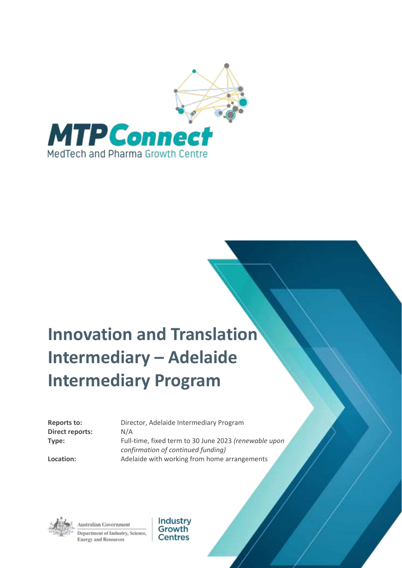

# **Innovation and Translation Intermediary – Adelaide Intermediary Program**

**Direct reports:** N/A

**Reports to:** Director, Adelaide Intermediary Program **Type:** Full-time, fixed term to 30 June 2023 *(renewable upon confirmation of continued funding)* **Location:** Adelaide with working from home arrangements

Australian Government Department of Industry, Science, **Energy and Resources** 

Industry Growth **Centres**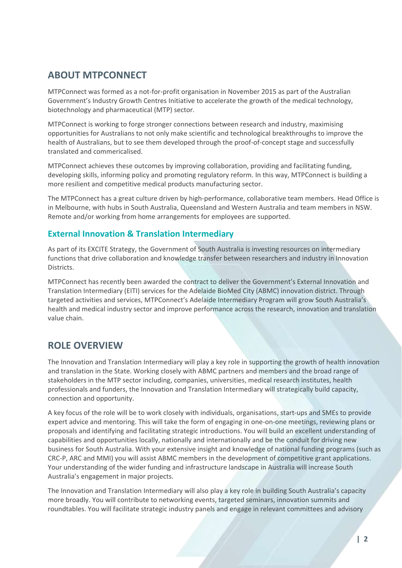### **ABOUT MTPCONNECT**

MTPConnect was formed as a not-for-profit organisation in November 2015 as part of the Australian Government's Industry Growth Centres Initiative to accelerate the growth of the medical technology, biotechnology and pharmaceutical (MTP) sector.

MTPConnect is working to forge stronger connections between research and industry, maximising opportunities for Australians to not only make scientific and technological breakthroughs to improve the health of Australians, but to see them developed through the proof-of-concept stage and successfully translated and commericalised.

MTPConnect achieves these outcomes by improving collaboration, providing and facilitating funding, developing skills, informing policy and promoting regulatory reform. In this way, MTPConnect is building a more resilient and competitive medical products manufacturing sector.

The MTPConnect has a great culture driven by high-performance, collaborative team members. Head Office is in Melbourne, with hubs in South Australia, Queensland and Western Australia and team members in NSW. Remote and/or working from home arrangements for employees are supported.

#### **External Innovation & Translation Intermediary**

As part of its EXCITE Strategy, the Government of South Australia is investing resources on intermediary functions that drive collaboration and knowledge transfer between researchers and industry in Innovation Districts.

MTPConnect has recently been awarded the contract to deliver the Government's External Innovation and Translation Intermediary (EITI) services for the Adelaide BioMed City (ABMC) innovation district. Through targeted activities and services, MTPConnect's Adelaide Intermediary Program will grow South Australia's health and medical industry sector and improve performance across the research, innovation and translation value chain.

## **ROLE OVERVIEW**

The Innovation and Translation Intermediary will play a key role in supporting the growth of health innovation and translation in the State. Working closely with ABMC partners and members and the broad range of stakeholders in the MTP sector including, companies, universities, medical research institutes, health professionals and funders, the Innovation and Translation Intermediary will strategically build capacity, connection and opportunity.

A key focus of the role will be to work closely with individuals, organisations, start-ups and SMEs to provide expert advice and mentoring. This will take the form of engaging in one-on-one meetings, reviewing plans or proposals and identifying and facilitating strategic introductions. You will build an excellent understanding of capabilities and opportunities locally, nationally and internationally and be the conduit for driving new business for South Australia. With your extensive insight and knowledge of national funding programs (such as CRC-P, ARC and MMI) you will assist ABMC members in the development of competitive grant applications. Your understanding of the wider funding and infrastructure landscape in Australia will increase South Australia's engagement in major projects.

The Innovation and Translation Intermediary will also play a key role in building South Australia's capacity more broadly. You will contribute to networking events, targeted seminars, innovation summits and roundtables. You will facilitate strategic industry panels and engage in relevant committees and advisory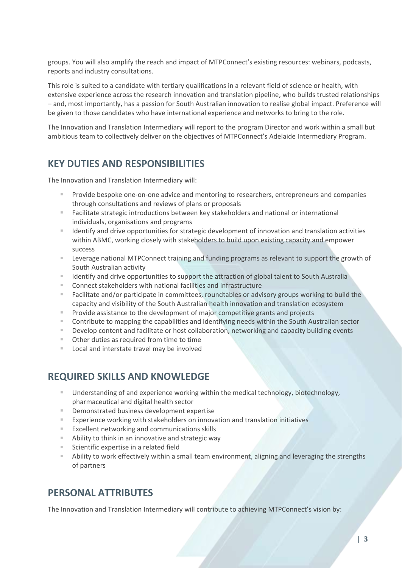groups. You will also amplify the reach and impact of MTPConnect's existing resources: webinars, podcasts, reports and industry consultations.

This role is suited to a candidate with tertiary qualifications in a relevant field of science or health, with extensive experience across the research innovation and translation pipeline, who builds trusted relationships – and, most importantly, has a passion for South Australian innovation to realise global impact. Preference will be given to those candidates who have international experience and networks to bring to the role.

The Innovation and Translation Intermediary will report to the program Director and work within a small but ambitious team to collectively deliver on the objectives of MTPConnect's Adelaide Intermediary Program.

#### **KEY DUTIES AND RESPONSIBILITIES**

The Innovation and Translation Intermediary will:

- Provide bespoke one-on-one advice and mentoring to researchers, entrepreneurs and companies through consultations and reviews of plans or proposals
- Facilitate strategic introductions between key stakeholders and national or international individuals, organisations and programs
- Identify and drive opportunities for strategic development of innovation and translation activities within ABMC, working closely with stakeholders to build upon existing capacity and empower success
- Leverage national MTPConnect training and funding programs as relevant to support the growth of South Australian activity
- **E** Identify and drive opportunities to support the attraction of global talent to South Australia
- Connect stakeholders with national facilities and infrastructure
- Facilitate and/or participate in committees, roundtables or advisory groups working to build the capacity and visibility of the South Australian health innovation and translation ecosystem
- Provide assistance to the development of major competitive grants and projects
- Contribute to mapping the capabilities and identifying needs within the South Australian sector
- **E** Develop content and facilitate or host collaboration, networking and capacity building events
- Other duties as required from time to time
- Local and interstate travel may be involved

#### **REQUIRED SKILLS AND KNOWLEDGE**

- Understanding of and experience working within the medical technology, biotechnology, pharmaceutical and digital health sector
- Demonstrated business development expertise
- Experience working with stakeholders on innovation and translation initiatives
- Excellent networking and communications skills
- Ability to think in an innovative and strategic way
- Scientific expertise in a related field
- **EXT** Ability to work effectively within a small team environment, aligning and leveraging the strengths of partners

#### **PERSONAL ATTRIBUTES**

The Innovation and Translation Intermediary will contribute to achieving MTPConnect's vision by: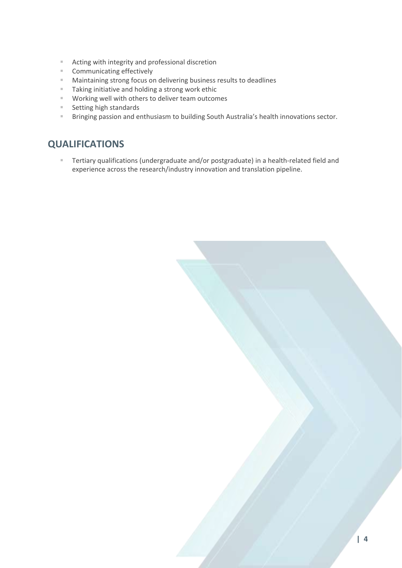- Acting with integrity and professional discretion
- Communicating effectively
- Maintaining strong focus on delivering business results to deadlines
- Taking initiative and holding a strong work ethic
- Working well with others to deliver team outcomes
- Setting high standards
- Bringing passion and enthusiasm to building South Australia's health innovations sector.

### **QUALIFICATIONS**

**E** Tertiary qualifications (undergraduate and/or postgraduate) in a health-related field and experience across the research/industry innovation and translation pipeline.